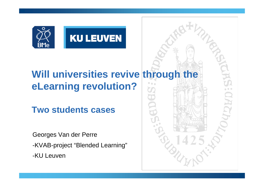

# **Will universities revive through the eLearning revolution?**

**Two students cases**

Georges Van der Perre -KVAB-project "Blended Learning" -KU Leuven

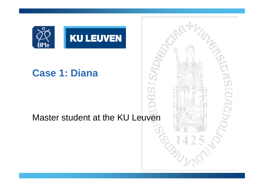

# **Case 1: Diana**

## Master student at the KU Leuven

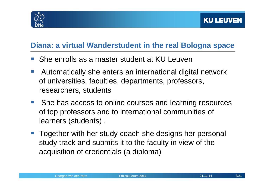

#### **Diana: a virtual Wanderstudent in the real Bologna space**

- **She enrolls as a master student at KU Leuven**
- $\mathcal{L}_{\mathcal{A}}$  Automatically she enters an international digital network of universities, faculties, departments, professors, researchers, students
- $\mathcal{L}(\mathcal{A})$  She has access to online courses and learning resources of top professors and to international communities of learners (students) .
- Together with her study coach she designs her personal study track and submits it to the faculty in view of the acquisition of credentials (a diploma)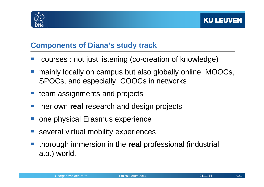

### **Components of Diana's study track**

- courses : not just listening (co-creation of knowledge)
- mainly locally on campus but also globally online: MOOCs, SPOCs, and especially: COOCs in networks
- team assignments and projects
- $\mathcal{L}^{\text{eff}}$ **her own real research and design projects**
- one physical Erasmus experience
- several virtual mobility experiences
- **Service Service**  thorough immersion in the **real** professional (industrial a.o.) world.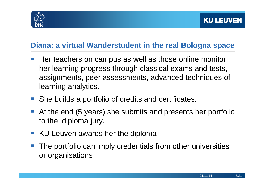

#### **Diana: a virtual Wanderstudent in the real Bologna space**

- $\blacksquare$  Her teachers on campus as well as those online monitor her learning progress through classical exams and tests, assignments, peer assessments, advanced techniques of learning analytics.
- She builds a portfolio of credits and certificates.
- $\mathcal{L}_{\text{max}}$  At the end (5 years) she submits and presents her portfolio to the diploma jury.
- KU Leuven awards her the diploma
- The portfolio can imply credentials from other universities or organisations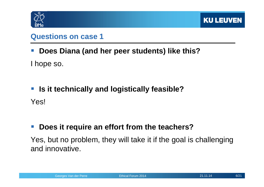

#### **Questions on case 1**

**Does Diana (and her peer students) like this?** 

I hope so.

 **Is it technically and logistically feasible?**  Yes!

#### $\mathcal{L}_{\mathcal{A}}$ **Does it require an effort from the teachers?**

Yes, but no problem, they will take it if the goal is challenging and innovative.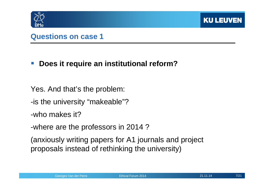

### **Questions on case 1**

#### $\left\vert \cdot \right\vert$ **Does it require an institutional reform?**

Yes. And that's the problem:

-is the university "makeable"?

-who makes it?

-where are the professors in 2014 ?

(anxiously writing papers for A1 journals and project proposals instead of rethinking the university)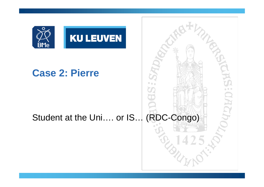

## **Case 2: Pierre**

# Student at the Uni.... or IS... (RDC-Congo)

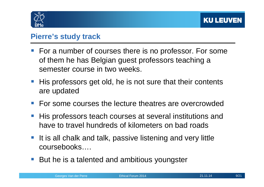

#### **Pierre's study track**

- For a number of courses there is no professor. For some of them he has Belgian guest professors teaching a semester course in two weeks.
- His professors get old, he is not sure that their contents are updated
- **For some courses the lecture theatres are overcrowded**
- His professors teach courses at several institutions and have to travel hundreds of kilometers on bad roads
- It is all chalk and talk, passive listening and very little coursebooks….
- But he is a talented and ambitious youngster